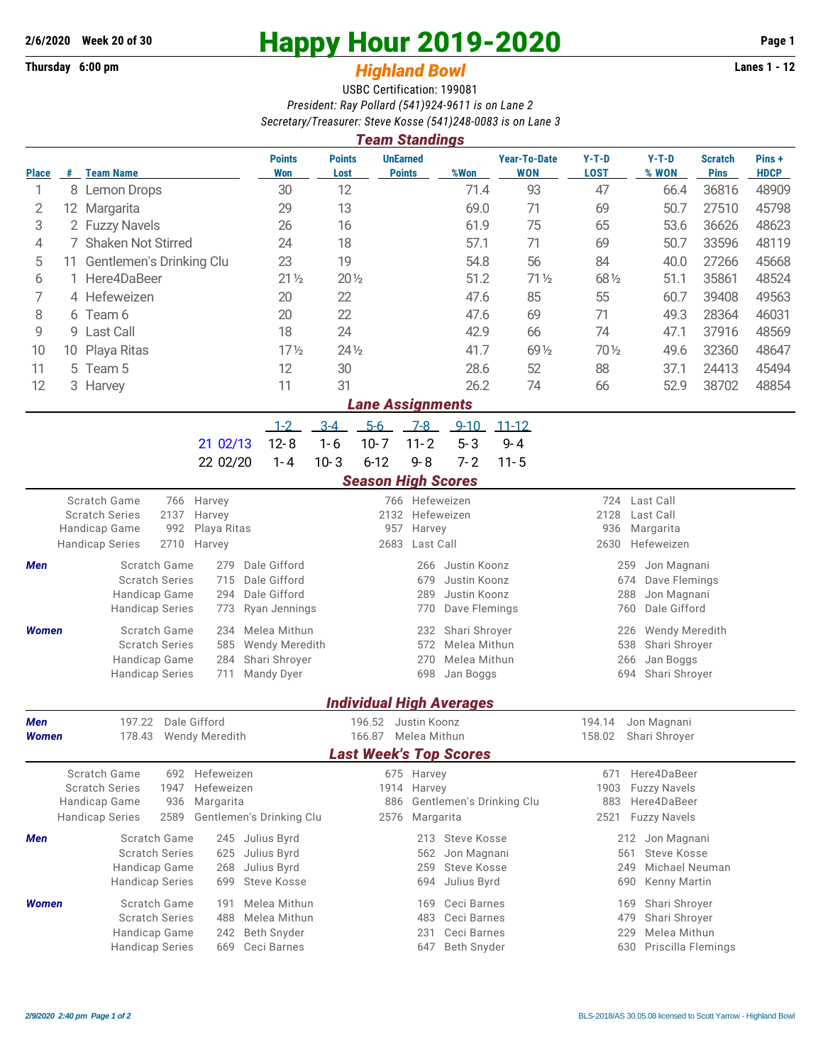## **Thursday 6:00 pm** *Highland Bowl*

## **2/6/2020** Week 20 of 30<br>
Thursday 6:00 pm<br> **Example 2019-2020** Page 1<br> **Example 2019-2020**

## USBC Certification: 199081 *President: Ray Pollard (541)924-9611 is on Lane 2 Secretary/Treasurer: Steve Kosse (541)248-0083 is on Lane 3*

| <b>Team Standings</b>                                                                                                                                                                                                                       |                           |                                                                                                                                                                 |                                                                                        |                                                                         |                                                                                                                   |                                  |                                                          |                                   |                                                                              |                                                                                                                  |                               |                      |  |  |
|---------------------------------------------------------------------------------------------------------------------------------------------------------------------------------------------------------------------------------------------|---------------------------|-----------------------------------------------------------------------------------------------------------------------------------------------------------------|----------------------------------------------------------------------------------------|-------------------------------------------------------------------------|-------------------------------------------------------------------------------------------------------------------|----------------------------------|----------------------------------------------------------|-----------------------------------|------------------------------------------------------------------------------|------------------------------------------------------------------------------------------------------------------|-------------------------------|----------------------|--|--|
| <b>Place</b>                                                                                                                                                                                                                                | #                         | <b>Team Name</b>                                                                                                                                                | <b>Points</b><br>Won                                                                   | <b>Points</b><br>Lost                                                   |                                                                                                                   | <b>UnEarned</b><br><b>Points</b> | %Won                                                     | <b>Year-To-Date</b><br><b>WON</b> | $Y-T-D$<br><b>LOST</b>                                                       | $Y-T-D$<br>% WON                                                                                                 | <b>Scratch</b><br><b>Pins</b> | Pins+<br><b>HDCP</b> |  |  |
| 1                                                                                                                                                                                                                                           |                           | 8 Lemon Drops                                                                                                                                                   | 30                                                                                     | 12                                                                      |                                                                                                                   |                                  | 71.4                                                     | 93                                | 47                                                                           | 66.4                                                                                                             | 36816                         | 48909                |  |  |
| 2                                                                                                                                                                                                                                           |                           | 12 Margarita                                                                                                                                                    | 29                                                                                     | 13                                                                      |                                                                                                                   |                                  | 69.0                                                     | 71                                | 69                                                                           | 50.7                                                                                                             | 27510                         | 45798                |  |  |
| 3                                                                                                                                                                                                                                           |                           | 2 Fuzzy Navels                                                                                                                                                  | 26                                                                                     | 16                                                                      |                                                                                                                   |                                  | 61.9                                                     | 75                                | 65                                                                           | 53.6                                                                                                             | 36626                         | 48623                |  |  |
| 4                                                                                                                                                                                                                                           |                           | 7 Shaken Not Stirred                                                                                                                                            | 24                                                                                     | 18                                                                      |                                                                                                                   |                                  | 57.1                                                     | 71                                | 69                                                                           | 50.7                                                                                                             | 33596                         | 48119                |  |  |
| 5                                                                                                                                                                                                                                           |                           | Gentlemen's Drinking Clu<br>23<br>11                                                                                                                            |                                                                                        |                                                                         |                                                                                                                   |                                  | 54.8                                                     | 56                                | 84                                                                           | 40.0                                                                                                             | 27266                         | 45668                |  |  |
| 6                                                                                                                                                                                                                                           |                           | Here4DaBeer                                                                                                                                                     | $21\frac{1}{2}$                                                                        | $20\%$                                                                  |                                                                                                                   |                                  | 51.2                                                     | $71\frac{1}{2}$                   | 68 1/2                                                                       | 51.1                                                                                                             | 35861                         | 48524                |  |  |
| 7                                                                                                                                                                                                                                           |                           | 4 Hefeweizen                                                                                                                                                    | 20                                                                                     | 22                                                                      |                                                                                                                   |                                  | 47.6                                                     | 85                                | 55                                                                           | 60.7                                                                                                             | 39408                         | 49563                |  |  |
| 8                                                                                                                                                                                                                                           |                           | 6 Team 6                                                                                                                                                        | 20                                                                                     | 22                                                                      |                                                                                                                   |                                  | 47.6                                                     | 69                                | 71                                                                           | 49.3                                                                                                             | 28364                         | 46031                |  |  |
| 9                                                                                                                                                                                                                                           | 9                         | Last Call                                                                                                                                                       | 18                                                                                     | 24                                                                      |                                                                                                                   |                                  | 42.9                                                     | 66                                | 74                                                                           | 47.1                                                                                                             | 37916                         | 48569                |  |  |
| 10                                                                                                                                                                                                                                          |                           | 10 Playa Ritas                                                                                                                                                  | $17\frac{1}{2}$                                                                        | $24\frac{1}{2}$                                                         |                                                                                                                   |                                  | 41.7                                                     | 69 1/2                            | 70 1/2                                                                       | 49.6                                                                                                             | 32360                         | 48647                |  |  |
| 11                                                                                                                                                                                                                                          |                           | 5 Team 5                                                                                                                                                        | 12                                                                                     | 30                                                                      |                                                                                                                   |                                  | 28.6                                                     | 52                                | 88                                                                           | 37.1                                                                                                             | 24413                         | 45494                |  |  |
| 12                                                                                                                                                                                                                                          |                           | 3 Harvey                                                                                                                                                        | 11                                                                                     | 31                                                                      |                                                                                                                   |                                  | 26.2                                                     | 74                                | 66                                                                           | 52.9                                                                                                             | 38702                         | 48854                |  |  |
|                                                                                                                                                                                                                                             |                           |                                                                                                                                                                 |                                                                                        |                                                                         |                                                                                                                   | <b>Lane Assignments</b>          |                                                          |                                   |                                                                              |                                                                                                                  |                               |                      |  |  |
|                                                                                                                                                                                                                                             |                           |                                                                                                                                                                 | $-1-2$                                                                                 | $3-4$                                                                   | $5-6$                                                                                                             | $7 - 8$                          | $9 - 10$                                                 | $11 - 12$                         |                                                                              |                                                                                                                  |                               |                      |  |  |
|                                                                                                                                                                                                                                             |                           |                                                                                                                                                                 | $12 - 8$<br>21 02/13                                                                   | $1 - 6$                                                                 | $10 - 7$                                                                                                          | $11 - 2$                         | $5 - 3$                                                  | $9 - 4$                           |                                                                              |                                                                                                                  |                               |                      |  |  |
|                                                                                                                                                                                                                                             |                           |                                                                                                                                                                 | 22 02/20<br>$1 - 4$                                                                    | $10 - 3$                                                                | $6 - 12$                                                                                                          | $9 - 8$                          | $7 - 2$                                                  | $11 - 5$                          |                                                                              |                                                                                                                  |                               |                      |  |  |
|                                                                                                                                                                                                                                             | <b>Season High Scores</b> |                                                                                                                                                                 |                                                                                        |                                                                         |                                                                                                                   |                                  |                                                          |                                   |                                                                              |                                                                                                                  |                               |                      |  |  |
|                                                                                                                                                                                                                                             |                           | <b>Scratch Game</b><br>766 Harvey<br><b>Scratch Series</b><br>2137<br>Harvey<br>Handicap Game<br>992<br>Playa Ritas<br>2710<br><b>Handicap Series</b><br>Harvey |                                                                                        | 766 Hefeweizen<br>2132 Hefeweizen<br>957<br>Harvey<br>2683<br>Last Call |                                                                                                                   |                                  |                                                          |                                   | 724 Last Call<br>2128<br>Last Call<br>936<br>Margarita<br>2630<br>Hefeweizen |                                                                                                                  |                               |                      |  |  |
| Dale Gifford<br>Scratch Game<br>Men<br>279<br>Dale Gifford<br><b>Scratch Series</b><br>715<br>Dale Gifford<br>Handicap Game<br>294<br><b>Handicap Series</b><br>Ryan Jennings<br>773<br>Scratch Game<br>Melea Mithun<br><b>Women</b><br>234 |                           |                                                                                                                                                                 |                                                                                        |                                                                         | Justin Koonz<br>266<br>Justin Koonz<br>679<br>289<br>Justin Koonz<br>Dave Flemings<br>770<br>Shari Shroyer<br>232 |                                  |                                                          |                                   |                                                                              | Jon Magnani<br>259<br>674<br>Dave Flemings<br>288<br>Jon Magnani<br>Dale Gifford<br>760<br>226<br>Wendy Meredith |                               |                      |  |  |
|                                                                                                                                                                                                                                             |                           | <b>Scratch Series</b><br>Handicap Game<br><b>Handicap Series</b>                                                                                                | Wendy Meredith<br>585<br>Shari Shroyer<br>284<br>Mandy Dyer<br>711                     |                                                                         | Melea Mithun<br>572<br>Melea Mithun<br>270<br>Jan Boggs<br>698<br><b>Individual High Averages</b>                 |                                  |                                                          |                                   |                                                                              | 538<br>Shari Shroyer<br>Jan Boggs<br>266<br>694<br>Shari Shroyer                                                 |                               |                      |  |  |
| 197.22 Dale Gifford<br>Men                                                                                                                                                                                                                  |                           |                                                                                                                                                                 |                                                                                        |                                                                         |                                                                                                                   | 196.52 Justin Koonz              |                                                          |                                   | 194.14                                                                       | Jon Magnani                                                                                                      |                               |                      |  |  |
| <b>Women</b>                                                                                                                                                                                                                                |                           | 178.43 Wendy Meredith                                                                                                                                           |                                                                                        |                                                                         |                                                                                                                   | 166.87 Melea Mithun              |                                                          |                                   |                                                                              | 158.02 Shari Shroyer                                                                                             |                               |                      |  |  |
|                                                                                                                                                                                                                                             |                           |                                                                                                                                                                 |                                                                                        |                                                                         |                                                                                                                   |                                  | <b>Last Week's Top Scores</b>                            |                                   |                                                                              |                                                                                                                  |                               |                      |  |  |
| Scratch Game<br>692<br>Hefeweizen<br><b>Scratch Series</b><br>1947<br>Hefeweizen<br>Handicap Game<br>936<br>Margarita<br><b>Handicap Series</b><br>2589<br>Gentlemen's Drinking Clu                                                         |                           |                                                                                                                                                                 |                                                                                        |                                                                         | 675 Harvey<br>1914 Harvey<br>886 Gentlemen's Drinking Clu<br>Margarita<br>2576                                    |                                  |                                                          |                                   |                                                                              | Here4DaBeer<br>671<br><b>Fuzzy Navels</b><br>1903<br>883<br>Here4DaBeer<br>2521<br><b>Fuzzy Navels</b>           |                               |                      |  |  |
| Men                                                                                                                                                                                                                                         |                           | Scratch Game<br>245                                                                                                                                             |                                                                                        | 213 Steve Kosse                                                         |                                                                                                                   |                                  |                                                          |                                   | 212 Jon Magnani                                                              |                                                                                                                  |                               |                      |  |  |
|                                                                                                                                                                                                                                             |                           | <b>Scratch Series</b><br>625<br>Handicap Game                                                                                                                   |                                                                                        | Jon Magnani<br>562<br>259<br>Steve Kosse                                |                                                                                                                   |                                  |                                                          |                                   | Steve Kosse<br>561<br>Michael Neuman<br>249                                  |                                                                                                                  |                               |                      |  |  |
|                                                                                                                                                                                                                                             |                           | <b>Handicap Series</b>                                                                                                                                          | Julius Byrd<br>268<br><b>Steve Kosse</b><br>699                                        |                                                                         |                                                                                                                   | 694                              | Julius Byrd                                              |                                   | 690                                                                          | Kenny Martin                                                                                                     |                               |                      |  |  |
| <b>Women</b>                                                                                                                                                                                                                                |                           | Scratch Game<br><b>Scratch Series</b><br>Handicap Game<br><b>Handicap Series</b>                                                                                | Melea Mithun<br>191<br>Melea Mithun<br>488<br>Beth Snyder<br>242<br>Ceci Barnes<br>669 |                                                                         |                                                                                                                   | 169<br>483<br>231<br>647         | Ceci Barnes<br>Ceci Barnes<br>Ceci Barnes<br>Beth Snyder |                                   | 169<br>479<br>229<br>630                                                     | Shari Shroyer<br>Shari Shroyer<br>Melea Mithun<br>Priscilla Flemings                                             |                               |                      |  |  |
|                                                                                                                                                                                                                                             |                           |                                                                                                                                                                 |                                                                                        |                                                                         |                                                                                                                   |                                  |                                                          |                                   |                                                                              |                                                                                                                  |                               |                      |  |  |